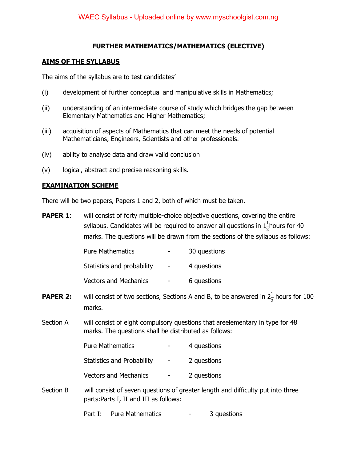### **FURTHER MATHEMATICS/MATHEMATICS (ELECTIVE)**

#### **AIMS OF THE SYLLABUS**

The aims of the syllabus are to test candidates'

- (i) development of further conceptual and manipulative skills in Mathematics;
- (ii) understanding of an intermediate course of study which bridges the gap between Elementary Mathematics and Higher Mathematics;
- (iii) acquisition of aspects of Mathematics that can meet the needs of potential Mathematicians, Engineers, Scientists and other professionals.
- (iv) ability to analyse data and draw valid conclusion
- (v) logical, abstract and precise reasoning skills.

### **EXAMINATION SCHEME**

There will be two papers, Papers 1 and 2, both of which must be taken.

**PAPER 1:** will consist of forty multiple-choice objective questions, covering the entire syllabus. Candidates will be required to answer all questions in  $1\frac{1}{2}$ hours for 40 marks. The questions will be drawn from the sections of the syllabus as follows:

| <b>Pure Mathematics</b>      | $\overline{\phantom{a}}$ | 30 questions |
|------------------------------|--------------------------|--------------|
| Statistics and probability   | $\sim$ 10 $\,$           | 4 questions  |
| <b>Vectors and Mechanics</b> | $\overline{\phantom{0}}$ | 6 questions  |

- **PAPER 2:** will consist of two sections, Sections A and B, to be answered in  $2\frac{1}{2}$  hours for 100 marks.
- Section A will consist of eight compulsory questions that areelementary in type for 48 marks. The questions shall be distributed as follows:

| <b>Pure Mathematics</b>           | 4 questions |
|-----------------------------------|-------------|
| <b>Statistics and Probability</b> | 2 questions |
| <b>Vectors and Mechanics</b>      | 2 questions |

Section B will consist of seven questions of greater length and difficulty put into three parts:Parts I, II and III as follows:

Part I: Pure Mathematics - 3 questions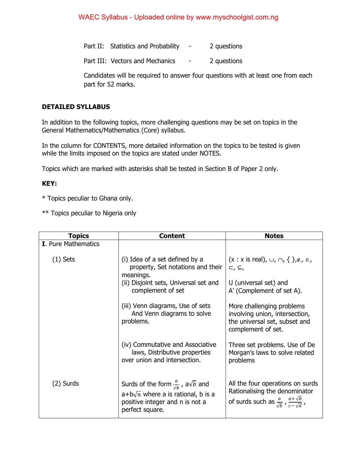Part II: Statistics and Probability - 2 questions

Part III: Vectors and Mechanics - 2 questions

Candidates will be required to answer four questions with at least one from each part for 52 marks.

#### **DETAILED SYLLABUS**

In addition to the following topics, more challenging questions may be set on topics in the General Mathematics/Mathematics (Core) syllabus.

In the column for CONTENTS, more detailed information on the topics to be tested is given while the limits imposed on the topics are stated under NOTES.

Topics which are marked with asterisks shall be tested in Section B of Paper 2 only.

#### **KEY:**

\* Topics peculiar to Ghana only.

\*\* Topics peculiar to Nigeria only

| <b>Topics</b>              | <b>Content</b>                                                                                                                                               | <b>Notes</b>                                                                                                                                   |
|----------------------------|--------------------------------------------------------------------------------------------------------------------------------------------------------------|------------------------------------------------------------------------------------------------------------------------------------------------|
| <b>I.</b> Pure Mathematics |                                                                                                                                                              |                                                                                                                                                |
| $(1)$ Sets                 | (i) Idea of a set defined by a<br>property, Set notations and their<br>meanings.                                                                             | $(x : x \text{ is real}), \cup, \cap, \{\}$ , $\notin, \in$ ,<br>$\subset, \subseteq,$                                                         |
|                            | (ii) Disjoint sets, Universal set and<br>complement of set                                                                                                   | U (universal set) and<br>A' (Complement of set A).                                                                                             |
|                            | (iii) Venn diagrams, Use of sets<br>And Venn diagrams to solve<br>problems.                                                                                  | More challenging problems<br>involving union, intersection,<br>the universal set, subset and<br>complement of set.                             |
|                            | (iv) Commutative and Associative<br>laws, Distributive properties<br>over union and intersection.                                                            | Three set problems. Use of De<br>Morgan's laws to solve related<br>problems                                                                    |
| $(2)$ Surds                | Surds of the form $\frac{a}{\sqrt{h}}$ , a $\sqrt{b}$ and<br>$a+b\sqrt{n}$ where a is rational, b is a<br>positive integer and n is not a<br>perfect square. | All the four operations on surds<br>Rationalising the denominator<br>of surds such as $\frac{a}{\sqrt{b}}$ , $\frac{a+\sqrt{b}}{c-\sqrt{d}}$ , |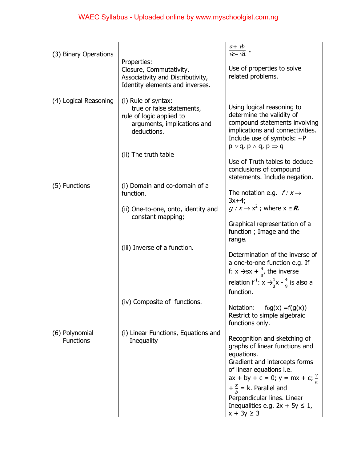| (3) Binary Operations              |                                                   | $a + \psi$<br>$\sqrt{c} - \sqrt{d}$                                               |
|------------------------------------|---------------------------------------------------|-----------------------------------------------------------------------------------|
|                                    | Properties:                                       |                                                                                   |
|                                    | Closure, Commutativity,                           | Use of properties to solve                                                        |
|                                    | Associativity and Distributivity,                 | related problems.                                                                 |
|                                    | Identity elements and inverses.                   |                                                                                   |
| (4) Logical Reasoning              | (i) Rule of syntax:                               |                                                                                   |
|                                    | true or false statements,                         | Using logical reasoning to                                                        |
|                                    | rule of logic applied to                          | determine the validity of                                                         |
|                                    | arguments, implications and                       | compound statements involving                                                     |
|                                    | deductions.                                       | implications and connectivities.                                                  |
|                                    |                                                   | Include use of symbols: $\sim P$<br>$p \vee q$ , $p \wedge q$ , $p \Rightarrow q$ |
|                                    | (ii) The truth table                              |                                                                                   |
|                                    |                                                   | Use of Truth tables to deduce                                                     |
|                                    |                                                   | conclusions of compound                                                           |
|                                    |                                                   | statements. Include negation.                                                     |
| (5) Functions                      | (i) Domain and co-domain of a                     |                                                                                   |
|                                    | function.                                         | The notation e.g. $f: x \rightarrow$<br>$3x+4;$                                   |
|                                    | (ii) One-to-one, onto, identity and               | $g: x \to x^2$ ; where $x \in \mathbb{R}$ .                                       |
|                                    | constant mapping;                                 |                                                                                   |
|                                    |                                                   | Graphical representation of a                                                     |
|                                    |                                                   | function; Image and the                                                           |
|                                    |                                                   | range.                                                                            |
|                                    | (iii) Inverse of a function.                      | Determination of the inverse of                                                   |
|                                    |                                                   | a one-to-one function e.g. If                                                     |
|                                    |                                                   | f: $x \rightarrow sx + \frac{4}{3}$ , the inverse                                 |
|                                    |                                                   | relation f <sup>1</sup> : $x \rightarrow \frac{1}{3}x - \frac{4}{9}$ is also a    |
|                                    |                                                   | function.                                                                         |
|                                    | (iv) Composite of functions.                      |                                                                                   |
|                                    |                                                   | $f \circ g(x) = f(g(x))$<br>Notation:                                             |
|                                    |                                                   | Restrict to simple algebraic<br>functions only.                                   |
|                                    |                                                   |                                                                                   |
| (6) Polynomial<br><b>Functions</b> | (i) Linear Functions, Equations and<br>Inequality | Recognition and sketching of                                                      |
|                                    |                                                   | graphs of linear functions and                                                    |
|                                    |                                                   | equations.                                                                        |
|                                    |                                                   | Gradient and intercepts forms                                                     |
|                                    |                                                   | of linear equations i.e.<br>ax + by + c = 0; y = mx + c; $\frac{y}{a}$            |
|                                    |                                                   |                                                                                   |
|                                    |                                                   | $+\frac{x}{b}$ = k. Parallel and                                                  |
|                                    |                                                   | Perpendicular lines. Linear<br>Inequalities e.g. $2x + 5y \le 1$ ,                |
|                                    |                                                   | $x + 3y \ge 3$                                                                    |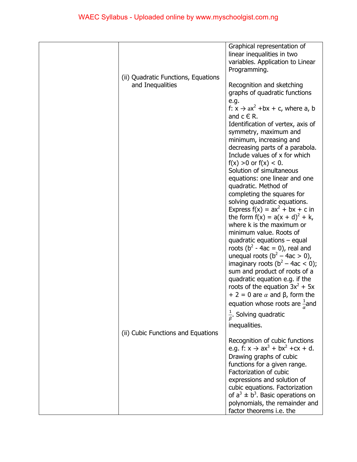|                                     | Graphical representation of<br>linear inequalities in two<br>variables. Application to Linear                        |
|-------------------------------------|----------------------------------------------------------------------------------------------------------------------|
| (ii) Quadratic Functions, Equations | Programming.                                                                                                         |
| and Inequalities                    | Recognition and sketching<br>graphs of quadratic functions<br>e.g.                                                   |
|                                     | f: $x \rightarrow ax^2 + bx + c$ , where a, b<br>and $c \in R$ .                                                     |
|                                     | Identification of vertex, axis of<br>symmetry, maximum and                                                           |
|                                     | minimum, increasing and<br>decreasing parts of a parabola.                                                           |
|                                     | Include values of x for which<br>$f(x) > 0$ or $f(x) < 0$ .<br>Solution of simultaneous                              |
|                                     | equations: one linear and one<br>quadratic. Method of                                                                |
|                                     | completing the squares for<br>solving quadratic equations.                                                           |
|                                     | Express $f(x) = ax^2 + bx + c$ in<br>the form $f(x) = a(x + d)^{2} + k$ ,                                            |
|                                     | where k is the maximum or<br>minimum value. Roots of<br>quadratic equations $-$ equal                                |
|                                     | roots ( $b^2 - 4ac = 0$ ), real and<br>unequal roots $(b^2 - 4ac > 0)$ ,                                             |
|                                     | imaginary roots $(b^2 - 4ac < 0)$ ;<br>sum and product of roots of a                                                 |
|                                     | quadratic equation e.g. if the<br>roots of the equation $3x^2 + 5x$<br>$+ 2 = 0$ are $\alpha$ and $\beta$ , form the |
|                                     | equation whose roots are $\frac{1}{6}$ and                                                                           |
|                                     | $\frac{1}{6}$ . Solving quadratic<br>inequalities.                                                                   |
| (ii) Cubic Functions and Equations  | Recognition of cubic functions                                                                                       |
|                                     | e.g. $f: x \to ax^3 + bx^2 + cx + d$ .<br>Drawing graphs of cubic                                                    |
|                                     | functions for a given range.<br>Factorization of cubic                                                               |
|                                     | expressions and solution of<br>cubic equations. Factorization<br>of $a^3 \pm b^3$ . Basic operations on              |
|                                     | polynomials, the remainder and<br>factor theorems i.e. the                                                           |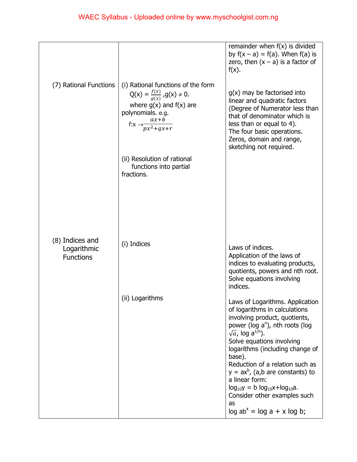|                                                    |                                                                                                                                                                                                                                                            | remainder when $f(x)$ is divided<br>by $f(x - a) = f(a)$ . When $f(a)$ is<br>zero, then $(x - a)$ is a factor of<br>$f(x)$ .                                                                                                                                                                                                                                                                                                                                            |
|----------------------------------------------------|------------------------------------------------------------------------------------------------------------------------------------------------------------------------------------------------------------------------------------------------------------|-------------------------------------------------------------------------------------------------------------------------------------------------------------------------------------------------------------------------------------------------------------------------------------------------------------------------------------------------------------------------------------------------------------------------------------------------------------------------|
| (7) Rational Functions                             | (i) Rational functions of the form<br>$Q(x) = \frac{f(x)}{g(x)}$ , $g(x) \neq 0$ .<br>where $g(x)$ and $f(x)$ are<br>polynomials. e.g.<br>f: $x \rightarrow \frac{ax+b}{px^2+qx+r}$<br>(ii) Resolution of rational<br>functions into partial<br>fractions. | $g(x)$ may be factorised into<br>linear and quadratic factors<br>(Degree of Numerator less than<br>that of denominator which is<br>less than or equal to 4).<br>The four basic operations.<br>Zeros, domain and range,<br>sketching not required.                                                                                                                                                                                                                       |
| (8) Indices and<br>Logarithmic<br><b>Functions</b> | (i) Indices                                                                                                                                                                                                                                                | Laws of indices.<br>Application of the laws of<br>indices to evaluating products,<br>quotients, powers and nth root.<br>Solve equations involving<br>indices.                                                                                                                                                                                                                                                                                                           |
|                                                    | (ii) Logarithms                                                                                                                                                                                                                                            | Laws of Logarithms. Application<br>of logarithms in calculations<br>involving product, quotients,<br>power (log $a^n$ ), nth roots (log<br>$\sqrt{a}$ , log a <sup>1/n</sup> ).<br>Solve equations involving<br>logarithms (including change of<br>base).<br>Reduction of a relation such as<br>$y = ax^b$ , (a,b are constants) to<br>a linear form:<br>$log_{10}y = b log_{10}x + log_{10}a$ .<br>Consider other examples such<br>as<br>$log ab^x = log a + x log b;$ |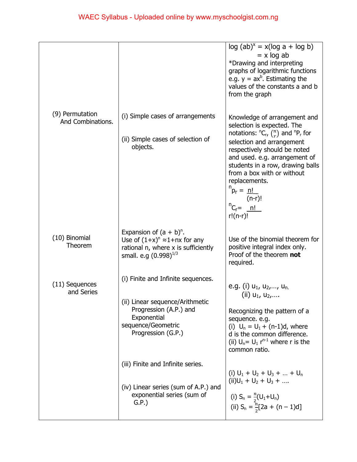|                                      |                                                                                                                                            | $log (ab)^x = x(log a + log b)$<br>$= x \log ab$<br>*Drawing and interpreting<br>graphs of logarithmic functions<br>e.g. $y = ax^b$ . Estimating the<br>values of the constants a and b<br>from the graph                                                                                                              |
|--------------------------------------|--------------------------------------------------------------------------------------------------------------------------------------------|------------------------------------------------------------------------------------------------------------------------------------------------------------------------------------------------------------------------------------------------------------------------------------------------------------------------|
| (9) Permutation<br>And Combinations. | (i) Simple cases of arrangements                                                                                                           | Knowledge of arrangement and<br>selection is expected. The                                                                                                                                                                                                                                                             |
|                                      | (ii) Simple cases of selection of<br>objects.                                                                                              | notations: ${}^nC_r$ , $\binom{n}{r}$ and ${}^nP_r$ for<br>selection and arrangement<br>respectively should be noted<br>and used. e.g. arrangement of<br>students in a row, drawing balls<br>from a box with or without<br>replacements.<br>$n_{p_r} = n!$<br>$(n-r)!$<br>${}^{n}C_{r} = \underline{n!}$<br>$r!(n-r)!$ |
| (10) Binomial<br>Theorem             | Expansion of $(a + b)^n$ .<br>Use of $(1+x)^n \approx 1 + nx$ for any<br>rational n, where x is sufficiently<br>small. e.g $(0.998)^{1/3}$ | Use of the binomial theorem for<br>positive integral index only.<br>Proof of the theorem not<br>required.                                                                                                                                                                                                              |
| (11) Sequences<br>and Series         | (i) Finite and Infinite sequences.                                                                                                         | e.g. (i) $u_1$ , $u_2$ ,, $u_n$ .                                                                                                                                                                                                                                                                                      |
|                                      | (ii) Linear sequence/Arithmetic<br>Progression (A.P.) and<br>Exponential<br>sequence/Geometric<br>Progression (G.P.)                       | (ii) $u_1, u_2, $<br>Recognizing the pattern of a<br>sequence. e.g.<br>(i) $U_n = U_1 + (n-1)d$ , where<br>d is the common difference.<br>(ii) $U_n = U_1 r^{n-1}$ where r is the<br>common ratio.                                                                                                                     |
|                                      | (iii) Finite and Infinite series.                                                                                                          | (i) $U_1 + U_2 + U_3 +  + U_n$                                                                                                                                                                                                                                                                                         |
|                                      | (iv) Linear series (sum of A.P.) and<br>exponential series (sum of<br>G.P.                                                                 | $(ii)U_1 + U_2 + U_3 + $<br>(i) $S_n = \frac{n}{2}(U_1 + U_n)$<br>(ii) $S_n = \frac{n}{2}[2a + (n-1)d]$                                                                                                                                                                                                                |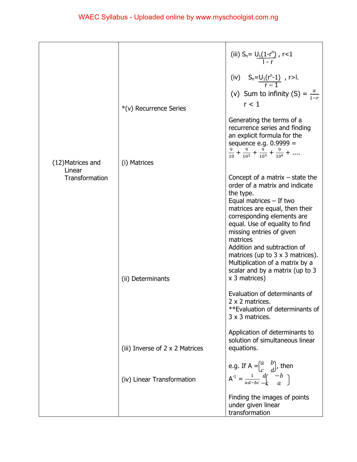|                   |                                 | (iii) $S_n = U_1(1-r^n)$ , $r < 1$                                                                                                                                                                                                                                                                                                                                                                                                                                                                                                 |
|-------------------|---------------------------------|------------------------------------------------------------------------------------------------------------------------------------------------------------------------------------------------------------------------------------------------------------------------------------------------------------------------------------------------------------------------------------------------------------------------------------------------------------------------------------------------------------------------------------|
|                   |                                 | (iv) $S_n = \underbrace{U_1(r^n-1)}_{r-1}$ , r>l.<br>(v) Sum to infinity (S) = $\frac{a}{1-r}$                                                                                                                                                                                                                                                                                                                                                                                                                                     |
|                   | *(v) Recurrence Series          | r < 1                                                                                                                                                                                                                                                                                                                                                                                                                                                                                                                              |
| (12) Matrices and | (i) Matrices                    | Generating the terms of a<br>recurrence series and finding<br>an explicit formula for the<br>sequence e.g. $0.9999 =$<br>$\frac{9}{10} + \frac{9}{10^2} + \frac{9}{10^3} + \frac{9}{10^4} + \dots$                                                                                                                                                                                                                                                                                                                                 |
| Linear            |                                 |                                                                                                                                                                                                                                                                                                                                                                                                                                                                                                                                    |
| Transformation    | (ii) Determinants               | Concept of a matrix $-$ state the<br>order of a matrix and indicate<br>the type.<br>Equal matrices $-$ If two<br>matrices are equal, then their<br>corresponding elements are<br>equal. Use of equality to find<br>missing entries of given<br>matrices<br>Addition and subtraction of<br>matrices (up to $3 \times 3$ matrices).<br>Multiplication of a matrix by a<br>scalar and by a matrix (up to 3<br>x 3 matrices)<br>Evaluation of determinants of<br>2 x 2 matrices.<br>**Evaluation of determinants of<br>3 x 3 matrices. |
|                   | (iii) Inverse of 2 x 2 Matrices | Application of determinants to<br>solution of simultaneous linear<br>equations.                                                                                                                                                                                                                                                                                                                                                                                                                                                    |
|                   | (iv) Linear Transformation      | e.g. If A = $\begin{pmatrix} a & b \\ c & d \end{pmatrix}$ , then<br>$A^{-1} = \frac{1}{ad-bc} \frac{d}{d} \begin{pmatrix} -b \\ a \end{pmatrix}$                                                                                                                                                                                                                                                                                                                                                                                  |
|                   |                                 | Finding the images of points<br>under given linear<br>transformation                                                                                                                                                                                                                                                                                                                                                                                                                                                               |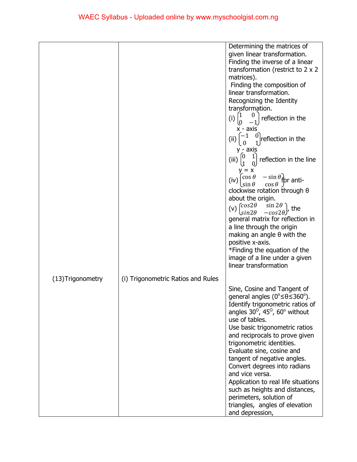|                   |                                    | Determining the matrices of                                               |
|-------------------|------------------------------------|---------------------------------------------------------------------------|
|                   |                                    | given linear transformation.                                              |
|                   |                                    | Finding the inverse of a linear                                           |
|                   |                                    | transformation (restrict to 2 x 2                                         |
|                   |                                    | matrices).                                                                |
|                   |                                    | Finding the composition of                                                |
|                   |                                    | linear transformation.                                                    |
|                   |                                    | Recognizing the Identity                                                  |
|                   |                                    | transformation.                                                           |
|                   |                                    | $\left(1\right)$<br>$\theta$                                              |
|                   |                                    | reflection in the<br>(i)                                                  |
|                   |                                    | x - axis                                                                  |
|                   |                                    | $-1$<br>reflection in the<br>(i)                                          |
|                   |                                    |                                                                           |
|                   |                                    | y - axis                                                                  |
|                   |                                    | $\left 0\right\rangle$<br>$\mathbf{1}$<br>reflection in the line<br>(iii) |
|                   |                                    |                                                                           |
|                   |                                    | $\cos \theta$<br>$-\sin\theta$ for anti-                                  |
|                   |                                    | (iv)<br>$\cos \theta$ J<br>$\sin \theta$                                  |
|                   |                                    | clockwise rotation through $\theta$                                       |
|                   |                                    | about the origin.                                                         |
|                   |                                    | ( $cos2\theta$<br>$\sin 2\theta$<br>(v)<br>the                            |
|                   |                                    | $sin2\theta$<br>$-cos2\theta$                                             |
|                   |                                    | general matrix for reflection in                                          |
|                   |                                    | a line through the origin                                                 |
|                   |                                    | making an angle $\theta$ with the                                         |
|                   |                                    | positive x-axis.                                                          |
|                   |                                    | *Finding the equation of the                                              |
|                   |                                    | image of a line under a given                                             |
|                   |                                    | linear transformation                                                     |
| (13) Trigonometry | (i) Trigonometric Ratios and Rules |                                                                           |
|                   |                                    |                                                                           |
|                   |                                    | Sine, Cosine and Tangent of                                               |
|                   |                                    | general angles ( $0^{\circ} \le \theta \le 360^{\circ}$ ).                |
|                   |                                    | Identify trigonometric ratios of                                          |
|                   |                                    | angles $30^{\circ}$ , $45^{\circ}$ , $60^{\circ}$ without                 |
|                   |                                    | use of tables.                                                            |
|                   |                                    | Use basic trigonometric ratios                                            |
|                   |                                    | and reciprocals to prove given                                            |
|                   |                                    | trigonometric identities.                                                 |
|                   |                                    | Evaluate sine, cosine and                                                 |
|                   |                                    | tangent of negative angles.                                               |
|                   |                                    | Convert degrees into radians                                              |
|                   |                                    | and vice versa.                                                           |
|                   |                                    | Application to real life situations                                       |
|                   |                                    | such as heights and distances,                                            |
|                   |                                    | perimeters, solution of                                                   |
|                   |                                    | triangles, angles of elevation                                            |
|                   |                                    | and depression,                                                           |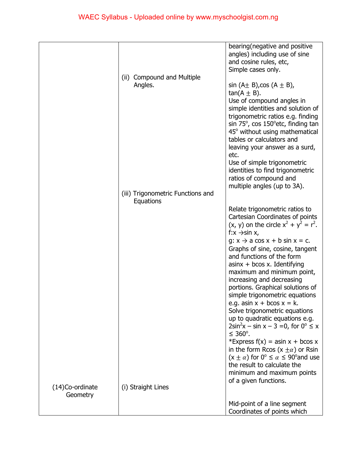|                 |                                   | bearing (negative and positive                                     |
|-----------------|-----------------------------------|--------------------------------------------------------------------|
|                 |                                   | angles) including use of sine                                      |
|                 |                                   | and cosine rules, etc,                                             |
|                 |                                   | Simple cases only.                                                 |
|                 | (ii) Compound and Multiple        |                                                                    |
|                 | Angles.                           | $sin (A \pm B)$ , cos $(A \pm B)$ ,                                |
|                 |                                   | $tan(A \pm B)$ .                                                   |
|                 |                                   | Use of compound angles in                                          |
|                 |                                   | simple identities and solution of                                  |
|                 |                                   | trigonometric ratios e.g. finding                                  |
|                 |                                   | sin $75^\circ$ , cos $150^\circ$ etc, finding tan                  |
|                 |                                   | 45° without using mathematical                                     |
|                 |                                   | tables or calculators and                                          |
|                 |                                   |                                                                    |
|                 |                                   | leaving your answer as a surd,                                     |
|                 |                                   | etc.                                                               |
|                 |                                   | Use of simple trigonometric                                        |
|                 |                                   | identities to find trigonometric                                   |
|                 |                                   | ratios of compound and                                             |
|                 |                                   | multiple angles (up to 3A).                                        |
|                 | (iii) Trigonometric Functions and |                                                                    |
|                 | Equations                         |                                                                    |
|                 |                                   | Relate trigonometric ratios to                                     |
|                 |                                   | Cartesian Coordinates of points                                    |
|                 |                                   | $(x, y)$ on the circle $x^{2} + y^{2} = r^{2}$ .                   |
|                 |                                   | f: $x \rightarrow \sin x$ ,                                        |
|                 |                                   | $g: x \rightarrow a \cos x + b \sin x = c.$                        |
|                 |                                   | Graphs of sine, cosine, tangent                                    |
|                 |                                   | and functions of the form                                          |
|                 |                                   | $asinx + bcos x$ . Identifying                                     |
|                 |                                   | maximum and minimum point,                                         |
|                 |                                   |                                                                    |
|                 |                                   | increasing and decreasing                                          |
|                 |                                   | portions. Graphical solutions of                                   |
|                 |                                   | simple trigonometric equations                                     |
|                 |                                   | e.g. asin $x + b\cos x = k$ .                                      |
|                 |                                   | Solve trigonometric equations                                      |
|                 |                                   | up to quadratic equations e.g.                                     |
|                 |                                   | $2\sin^2 x - \sin x - 3 = 0$ , for $0^{\circ} \le x$               |
|                 |                                   | $\leq 360^\circ$ .                                                 |
|                 |                                   | *Express $f(x) = a\sin x + b\cos x$                                |
|                 |                                   | in the form Rcos $(x \pm \alpha)$ or Rsin                          |
|                 |                                   | $(x \pm \alpha)$ for $0^{\circ} \le \alpha \le 90^{\circ}$ and use |
|                 |                                   | the result to calculate the                                        |
|                 |                                   | minimum and maximum points                                         |
|                 |                                   | of a given functions.                                              |
| (14)Co-ordinate | (i) Straight Lines                |                                                                    |
| Geometry        |                                   |                                                                    |
|                 |                                   | Mid-point of a line segment                                        |
|                 |                                   |                                                                    |
|                 |                                   | Coordinates of points which                                        |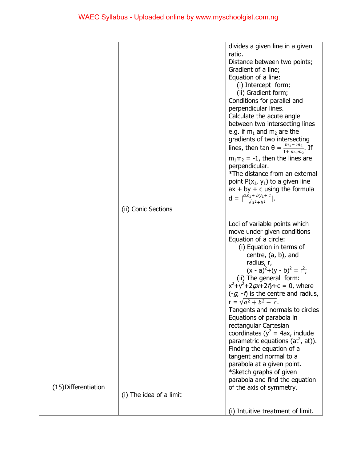|                      |                         | divides a given line in a given                                |
|----------------------|-------------------------|----------------------------------------------------------------|
|                      |                         | ratio.                                                         |
|                      |                         | Distance between two points;                                   |
|                      |                         | Gradient of a line;                                            |
|                      |                         | Equation of a line:                                            |
|                      |                         | (i) Intercept form;                                            |
|                      |                         | (ii) Gradient form;                                            |
|                      |                         | Conditions for parallel and                                    |
|                      |                         | perpendicular lines.                                           |
|                      |                         | Calculate the acute angle                                      |
|                      |                         | between two intersecting lines                                 |
|                      |                         | e.g. if $m_1$ and $m_2$ are the                                |
|                      |                         | gradients of two intersecting                                  |
|                      |                         | lines, then $\tan \theta = \frac{m_1 - m_2}{1 + m_1 m_2}$ . If |
|                      |                         |                                                                |
|                      |                         | $m_1m_2 = -1$ , then the lines are                             |
|                      |                         | perpendicular.                                                 |
|                      |                         | *The distance from an external                                 |
|                      |                         | point $P(x_1, y_1)$ to a given line                            |
|                      |                         | $ax + by + c$ using the formula                                |
|                      |                         | $d = \left  \frac{ax_1 + by_1 + c}{\sqrt{a^2 + b^2}} \right .$ |
|                      | (ii) Conic Sections     |                                                                |
|                      |                         |                                                                |
|                      |                         | Loci of variable points which                                  |
|                      |                         | move under given conditions                                    |
|                      |                         | Equation of a circle:                                          |
|                      |                         | (i) Equation in terms of                                       |
|                      |                         | centre, $(a, b)$ , and                                         |
|                      |                         | radius, r,                                                     |
|                      |                         | $(x - a)^{2}+(y - b)^{2} = r^{2}$ ;                            |
|                      |                         | (ii) The general form:                                         |
|                      |                         | $x^2+y^2+2gx+2fy+c=0$ , where                                  |
|                      |                         | $(-g, -f)$ is the centre and radius,                           |
|                      |                         | $r = \sqrt{a^2 + b^2 - c}$                                     |
|                      |                         | Tangents and normals to circles                                |
|                      |                         | Equations of parabola in                                       |
|                      |                         | rectangular Cartesian                                          |
|                      |                         | coordinates ( $y^2$ = 4ax, include                             |
|                      |                         | parametric equations (at <sup>2</sup> , at)).                  |
|                      |                         | Finding the equation of a                                      |
|                      |                         | tangent and normal to a                                        |
|                      |                         | parabola at a given point.                                     |
|                      |                         | *Sketch graphs of given                                        |
|                      |                         | parabola and find the equation                                 |
| (15) Differentiation |                         | of the axis of symmetry.                                       |
|                      | (i) The idea of a limit |                                                                |
|                      |                         |                                                                |
|                      |                         | (i) Intuitive treatment of limit.                              |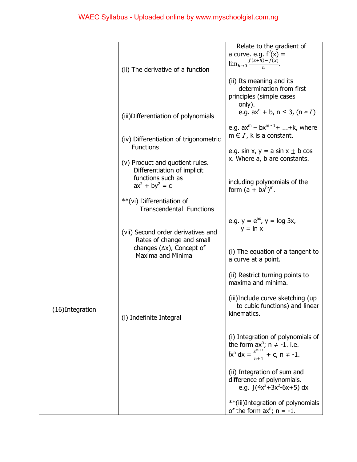|                  |                                                                 | Relate to the gradient of<br>a curve. e.g. $f'(x) =$<br>$\lim_{h\to 0}\frac{f(x+h)-f(x)}{h}$ .                                      |
|------------------|-----------------------------------------------------------------|-------------------------------------------------------------------------------------------------------------------------------------|
|                  | (ii) The derivative of a function                               | (ii) Its meaning and its<br>determination from first<br>principles (simple cases                                                    |
|                  | (iii) Differentiation of polynomials                            | only).<br>e.g. $ax^{n} + b$ , $n \le 3$ , $(n \in I)$                                                                               |
|                  | (iv) Differentiation of trigonometric<br><b>Functions</b>       | e.g. $ax^m - bx^{m-1} +  + k$ , where<br>m $\in I$ , k is a constant.                                                               |
|                  | (v) Product and quotient rules.<br>Differentiation of implicit  | e.g. sin x, $y = a \sin x \pm b \cos x$<br>x. Where a, b are constants.                                                             |
|                  | functions such as<br>$ax^{2} + by^{2} = c$                      | including polynomials of the<br>form $(a + bx^n)^m$ .                                                                               |
|                  | **(vi) Differentiation of<br><b>Transcendental Functions</b>    |                                                                                                                                     |
|                  | (vii) Second order derivatives and<br>Rates of change and small | e.g. $y = e^{ax}$ , $y = log 3x$ ,<br>$y = \ln x$                                                                                   |
|                  | changes $(\Delta x)$ , Concept of<br><b>Maxima and Minima</b>   | (i) The equation of a tangent to<br>a curve at a point.                                                                             |
|                  |                                                                 | (ii) Restrict turning points to<br>maxima and minima.                                                                               |
| (16) Integration | (i) Indefinite Integral                                         | (iii)Include curve sketching (up<br>to cubic functions) and linear<br>kinematics.                                                   |
|                  |                                                                 | (i) Integration of polynomials of<br>the form $ax^n$ ; $n \ne -1$ . i.e.<br>$\int x^n dx = \frac{x^{n+1}}{n+1} + c$ , $n \neq -1$ . |
|                  |                                                                 | (ii) Integration of sum and<br>difference of polynomials.<br>e.g. $\int (4x^3 + 3x^2 - 6x + 5) dx$                                  |
|                  |                                                                 | **(iii)Integration of polynomials<br>of the form $ax^n$ ; $n = -1$ .                                                                |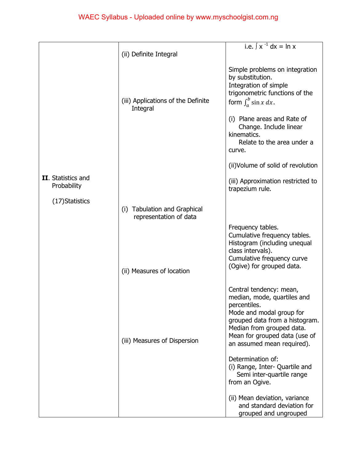|                                   |                                                        | i.e. $\int x^{-1} dx = \ln x$                                                                                                                                                                                                    |
|-----------------------------------|--------------------------------------------------------|----------------------------------------------------------------------------------------------------------------------------------------------------------------------------------------------------------------------------------|
|                                   |                                                        |                                                                                                                                                                                                                                  |
|                                   | (ii) Definite Integral                                 |                                                                                                                                                                                                                                  |
|                                   | (iii) Applications of the Definite                     | Simple problems on integration<br>by substitution.<br>Integration of simple<br>trigonometric functions of the<br>form $\int_{a}^{b} \sin x \, dx$ .                                                                              |
|                                   | Integral                                               | (i) Plane areas and Rate of<br>Change. Include linear<br>kinematics.<br>Relate to the area under a<br>curve.                                                                                                                     |
|                                   |                                                        | (ii) Volume of solid of revolution                                                                                                                                                                                               |
| II. Statistics and<br>Probability |                                                        | (iii) Approximation restricted to<br>trapezium rule.                                                                                                                                                                             |
| (17) Statistics                   | (i) Tabulation and Graphical<br>representation of data |                                                                                                                                                                                                                                  |
|                                   |                                                        | Frequency tables.<br>Cumulative frequency tables.<br>Histogram (including unequal<br>class intervals).<br>Cumulative frequency curve<br>(Ogive) for grouped data.                                                                |
|                                   | (ii) Measures of location                              |                                                                                                                                                                                                                                  |
|                                   | (iii) Measures of Dispersion                           | Central tendency: mean,<br>median, mode, quartiles and<br>percentiles.<br>Mode and modal group for<br>grouped data from a histogram.<br>Median from grouped data.<br>Mean for grouped data (use of<br>an assumed mean required). |
|                                   |                                                        | Determination of:<br>(i) Range, Inter- Quartile and<br>Semi inter-quartile range<br>from an Ogive.                                                                                                                               |
|                                   |                                                        | (ii) Mean deviation, variance<br>and standard deviation for<br>grouped and ungrouped                                                                                                                                             |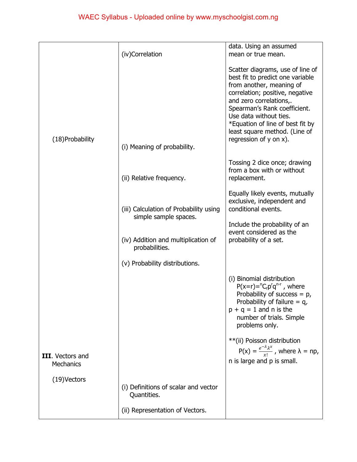|                                      |                                                                 | data. Using an assumed                                                                                                                                                                                                                                                                                                       |
|--------------------------------------|-----------------------------------------------------------------|------------------------------------------------------------------------------------------------------------------------------------------------------------------------------------------------------------------------------------------------------------------------------------------------------------------------------|
|                                      | (iv)Correlation                                                 | mean or true mean.                                                                                                                                                                                                                                                                                                           |
| (18) Probability                     | (i) Meaning of probability.                                     | Scatter diagrams, use of line of<br>best fit to predict one variable<br>from another, meaning of<br>correlation; positive, negative<br>and zero correlations,.<br>Spearman's Rank coefficient.<br>Use data without ties.<br>*Equation of line of best fit by<br>least square method. (Line of<br>regression of $y$ on $x$ ). |
|                                      |                                                                 |                                                                                                                                                                                                                                                                                                                              |
|                                      | (ii) Relative frequency.                                        | Tossing 2 dice once; drawing<br>from a box with or without<br>replacement.                                                                                                                                                                                                                                                   |
|                                      |                                                                 | Equally likely events, mutually                                                                                                                                                                                                                                                                                              |
|                                      | (iii) Calculation of Probability using<br>simple sample spaces. | exclusive, independent and<br>conditional events.                                                                                                                                                                                                                                                                            |
|                                      |                                                                 | Include the probability of an                                                                                                                                                                                                                                                                                                |
|                                      | (iv) Addition and multiplication of<br>probabilities.           | event considered as the<br>probability of a set.                                                                                                                                                                                                                                                                             |
|                                      | (v) Probability distributions.                                  |                                                                                                                                                                                                                                                                                                                              |
|                                      |                                                                 | (i) Binomial distribution<br>$P(x=r)= {}^{n}C_{r}p^{r}q^{n-r}$ , where<br>Probability of success = $p$ ,<br>Probability of failure $= q$<br>$p + q = 1$ and n is the<br>number of trials. Simple<br>problems only.                                                                                                           |
|                                      |                                                                 | **(ii) Poisson distribution                                                                                                                                                                                                                                                                                                  |
| III. Vectors and<br><b>Mechanics</b> |                                                                 | $P(x) = \frac{e^{-\lambda} \lambda^x}{x!}$ , where $\lambda = np$ ,<br>n is large and p is small.                                                                                                                                                                                                                            |
| $(19)$ Vectors                       |                                                                 |                                                                                                                                                                                                                                                                                                                              |
|                                      | (i) Definitions of scalar and vector<br>Quantities.             |                                                                                                                                                                                                                                                                                                                              |
|                                      | (ii) Representation of Vectors.                                 |                                                                                                                                                                                                                                                                                                                              |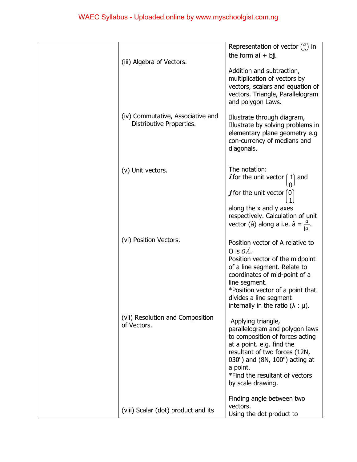| (iii) Algebra of Vectors.                                     | Representation of vector $\binom{a}{b}$ in<br>the form $ai + bj$ .<br>Addition and subtraction,<br>multiplication of vectors by<br>vectors, scalars and equation of<br>vectors. Triangle, Parallelogram<br>and polygon Laws.                                                                       |
|---------------------------------------------------------------|----------------------------------------------------------------------------------------------------------------------------------------------------------------------------------------------------------------------------------------------------------------------------------------------------|
| (iv) Commutative, Associative and<br>Distributive Properties. | Illustrate through diagram,<br>Illustrate by solving problems in<br>elementary plane geometry e.g<br>con-currency of medians and<br>diagonals.                                                                                                                                                     |
| (v) Unit vectors.                                             | The notation:<br><i>i</i> for the unit vector $\begin{bmatrix} 1 \end{bmatrix}$ and<br><b><i>j</i></b> for the unit vector $\lceil 0 \rceil$<br>along the x and y axes<br>respectively. Calculation of unit<br>vector (â) along a i.e. $\hat{a} = \frac{a}{ a }$ .                                 |
| (vi) Position Vectors.                                        | Position vector of A relative to<br>O is $\overrightarrow{OA}$ .<br>Position vector of the midpoint<br>of a line segment. Relate to<br>coordinates of mid-point of a<br>line segment.<br>*Position vector of a point that<br>divides a line segment<br>internally in the ratio $(\lambda : \mu)$ . |
| (vii) Resolution and Composition<br>of Vectors.               | Applying triangle,<br>parallelogram and polygon laws<br>to composition of forces acting<br>at a point. e.g. find the<br>resultant of two forces (12N,<br>030°) and (8N, 100°) acting at<br>a point.<br>*Find the resultant of vectors<br>by scale drawing.                                         |
| (viii) Scalar (dot) product and its                           | Finding angle between two<br>vectors.<br>Using the dot product to                                                                                                                                                                                                                                  |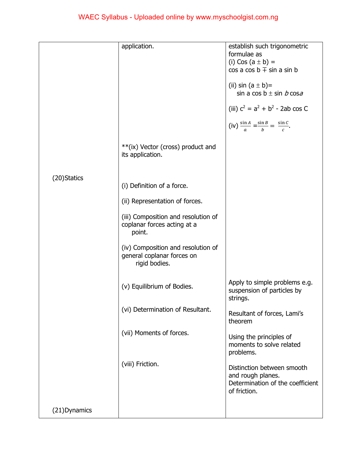|               | application.                                                                      | establish such trigonometric<br>formulae as<br>(i) Cos $(a \pm b) =$<br>$\cos a \cos b \mp \sin a \sin b$<br>(ii) sin $(a \pm b)$ =<br>sin a cos $b \pm \sin b \cos a$<br>(iii) $c^2 = a^2 + b^2$ - 2ab cos C<br>(iv) $\frac{\sin A}{a} = \frac{\sin B}{b} = \frac{\sin C}{c}$ . |
|---------------|-----------------------------------------------------------------------------------|----------------------------------------------------------------------------------------------------------------------------------------------------------------------------------------------------------------------------------------------------------------------------------|
|               | ** (ix) Vector (cross) product and<br>its application.                            |                                                                                                                                                                                                                                                                                  |
| (20) Statics  | (i) Definition of a force.                                                        |                                                                                                                                                                                                                                                                                  |
|               | (ii) Representation of forces.                                                    |                                                                                                                                                                                                                                                                                  |
|               | (iii) Composition and resolution of<br>coplanar forces acting at a<br>point.      |                                                                                                                                                                                                                                                                                  |
|               | (iv) Composition and resolution of<br>general coplanar forces on<br>rigid bodies. |                                                                                                                                                                                                                                                                                  |
|               | (v) Equilibrium of Bodies.                                                        | Apply to simple problems e.g.<br>suspension of particles by<br>strings.                                                                                                                                                                                                          |
|               | (vi) Determination of Resultant.                                                  | Resultant of forces, Lami's<br>theorem                                                                                                                                                                                                                                           |
|               | (vii) Moments of forces.                                                          | Using the principles of<br>moments to solve related<br>problems.                                                                                                                                                                                                                 |
|               | (viii) Friction.                                                                  | Distinction between smooth<br>and rough planes.<br>Determination of the coefficient<br>of friction.                                                                                                                                                                              |
| (21) Dynamics |                                                                                   |                                                                                                                                                                                                                                                                                  |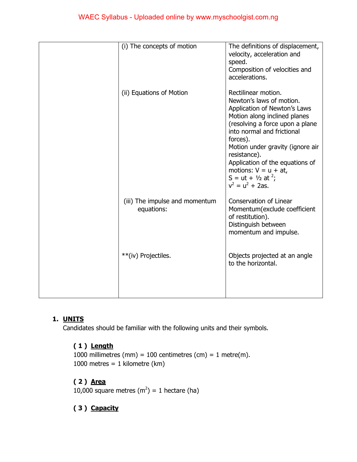| (i) The concepts of motion                   | The definitions of displacement,<br>velocity, acceleration and<br>speed.<br>Composition of velocities and<br>accelerations.                                                                                                                                                                                                                                                       |
|----------------------------------------------|-----------------------------------------------------------------------------------------------------------------------------------------------------------------------------------------------------------------------------------------------------------------------------------------------------------------------------------------------------------------------------------|
| (ii) Equations of Motion                     | Rectilinear motion.<br>Newton's laws of motion.<br>Application of Newton's Laws<br>Motion along inclined planes<br>(resolving a force upon a plane<br>into normal and frictional<br>forces).<br>Motion under gravity (ignore air<br>resistance).<br>Application of the equations of<br>motions: $V = u + at$ ,<br>S = ut + $\frac{1}{2}$ at <sup>2</sup> ;<br>$v^2 = u^2 + 2as$ . |
| (iii) The impulse and momentum<br>equations: | Conservation of Linear<br>Momentum(exclude coefficient<br>of restitution).<br>Distinguish between<br>momentum and impulse.                                                                                                                                                                                                                                                        |
| **(iv) Projectiles.                          | Objects projected at an angle<br>to the horizontal.                                                                                                                                                                                                                                                                                                                               |

# **1. UNITS**

Candidates should be familiar with the following units and their symbols.

# **( 1 ) Length**

1000 millimetres (mm) = 100 centimetres (cm) = 1 metre(m). 1000 metres =  $1$  kilometre (km)

# **( 2 ) Area**

10,000 square metres  $(m^2) = 1$  hectare (ha)

# **( 3 ) Capacity**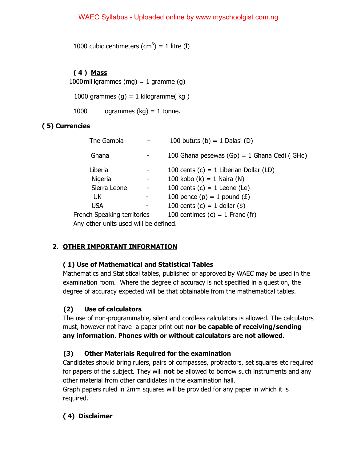1000 cubic centimeters  $(cm^3) = 1$  litre (l)

## **( 4 ) Mass**

1000 milligrammes (mg) =  $1$  gramme (g)

1000 grammes  $(q) = 1$  kilogramme $(q)$ 

1000 ogrammes  $(kg) = 1$  tonne.

## **( 5) Currencies**

| The Gambia                            | 100 bututs (b) = 1 Dalasi (D)                        |
|---------------------------------------|------------------------------------------------------|
| Ghana                                 | 100 Ghana pesewas $(Gp) = 1$ Ghana Cedi (GH $\phi$ ) |
| Liberia                               | 100 cents $(c) = 1$ Liberian Dollar (LD)             |
| Nigeria                               | 100 kobo (k) = 1 Naira ( $\mathsf{H}$ )              |
| Sierra Leone                          | 100 cents $(c) = 1$ Leone (Le)                       |
| UK.                                   | 100 pence (p) = 1 pound $(E)$                        |
| <b>USA</b>                            | 100 cents $(c) = 1$ dollar $(\$)$                    |
| French Speaking territories           | 100 centimes $(c) = 1$ Franc $(fr)$                  |
| Any other units used will be defined. |                                                      |

## **2. OTHER IMPORTANT INFORMATION**

## **( 1) Use of Mathematical and Statistical Tables**

Mathematics and Statistical tables, published or approved by WAEC may be used in the examination room. Where the degree of accuracy is not specified in a question, the degree of accuracy expected will be that obtainable from the mathematical tables.

# **(2) Use of calculators**

The use of non-programmable, silent and cordless calculators is allowed. The calculators must, however not have a paper print out **nor be capable of receiving/sending any information. Phones with or without calculators are not allowed.** 

## **(3) Other Materials Required for the examination**

Candidates should bring rulers, pairs of compasses, protractors, set squares etc required for papers of the subject. They will **not** be allowed to borrow such instruments and any other material from other candidates in the examination hall.

Graph papers ruled in 2mm squares will be provided for any paper in which it is required.

## **( 4) Disclaimer**